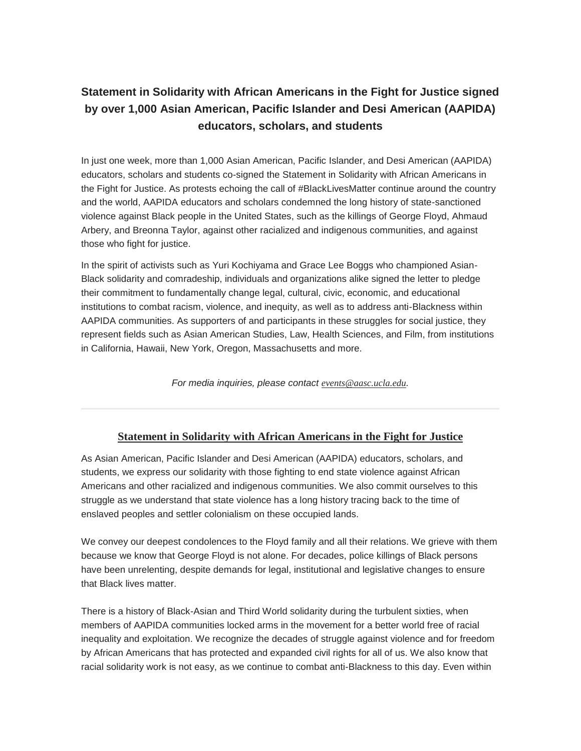## **Statement in Solidarity with African Americans in the Fight for Justice signed by over 1,000 Asian American, Pacific Islander and Desi American (AAPIDA) educators, scholars, and students**

In just one week, more than 1,000 Asian American, Pacific Islander, and Desi American (AAPIDA) educators, scholars and students co-signed the Statement in Solidarity with African Americans in the Fight for Justice. As protests echoing the call of #BlackLivesMatter continue around the country and the world, AAPIDA educators and scholars condemned the long history of state-sanctioned violence against Black people in the United States, such as the killings of George Floyd, Ahmaud Arbery, and Breonna Taylor, against other racialized and indigenous communities, and against those who fight for justice.

In the spirit of activists such as Yuri Kochiyama and Grace Lee Boggs who championed Asian-Black solidarity and comradeship, individuals and organizations alike signed the letter to pledge their commitment to fundamentally change legal, cultural, civic, economic, and educational institutions to combat racism, violence, and inequity, as well as to address anti-Blackness within AAPIDA communities. As supporters of and participants in these struggles for social justice, they represent fields such as Asian American Studies, Law, Health Sciences, and Film, from institutions in California, Hawaii, New York, Oregon, Massachusetts and more.

*For media inquiries, please contact [events@aasc.ucla.edu](mailto:events@aasc.ucla.edu).*

## **Statement in Solidarity with African [Americans](https://nam10.safelinks.protection.outlook.com/?url=https%3A%2F%2Furldefense.com%2Fv3%2F__https%3A%2F%2Fucla.us7.list-manage.com%2Ftrack%2Fclick%3Fu%3D95b3ebc7cf06df66cde05c771%26id%3Df53ef08a9d%26e%3Dd18d6a82d1__%3B!!P7nkOOY!6U3g6Qi-d6jZBfScfgJJm3pIO0vTdPALClxlV4ZMYRiixu-zOT3Vfmgct_qjc_0%24&data=01%7C01%7Cjpark%40csudh.edu%7Cbf24e746d7e44562ac4c08d80e880485%7C1a66a72773894727a8cbf249ac8e7ff8%7C0&sdata=Lq%2FgIN6x0AgYJJNQW8MJv6cLZDIXTH4InJADcyAzdZg%3D&reserved=0) in the Fight for Justice**

As Asian American, Pacific Islander and Desi American (AAPIDA) educators, scholars, and students, we express our solidarity with those fighting to end state violence against African Americans and other racialized and indigenous communities. We also commit ourselves to this struggle as we understand that state violence has a long history tracing back to the time of enslaved peoples and settler colonialism on these occupied lands.

We convey our deepest condolences to the Floyd family and all their relations. We grieve with them because we know that George Floyd is not alone. For decades, police killings of Black persons have been unrelenting, despite demands for legal, institutional and legislative changes to ensure that Black lives matter.

There is a history of Black-Asian and Third World solidarity during the turbulent sixties, when members of AAPIDA communities locked arms in the movement for a better world free of racial inequality and exploitation. We recognize the decades of struggle against violence and for freedom by African Americans that has protected and expanded civil rights for all of us. We also know that racial solidarity work is not easy, as we continue to combat anti-Blackness to this day. Even within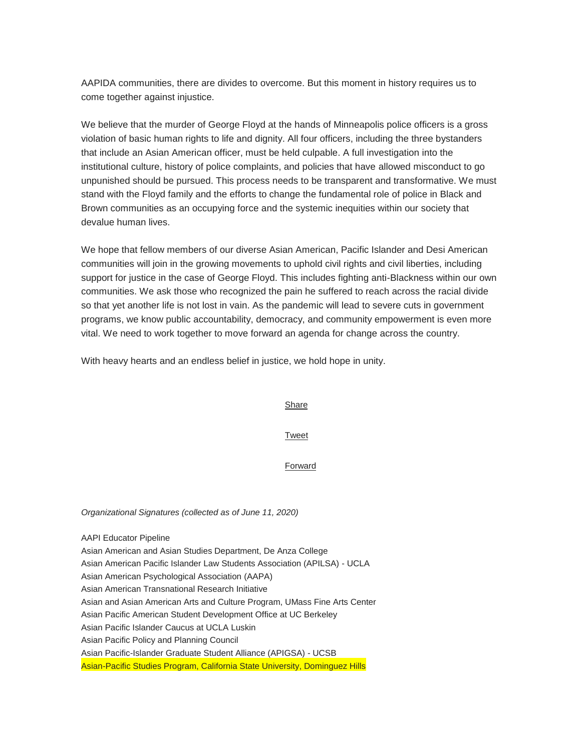AAPIDA communities, there are divides to overcome. But this moment in history requires us to come together against injustice.

We believe that the murder of George Floyd at the hands of Minneapolis police officers is a gross violation of basic human rights to life and dignity. All four officers, including the three bystanders that include an Asian American officer, must be held culpable. A full investigation into the institutional culture, history of police complaints, and policies that have allowed misconduct to go unpunished should be pursued. This process needs to be transparent and transformative. We must stand with the Floyd family and the efforts to change the fundamental role of police in Black and Brown communities as an occupying force and the systemic inequities within our society that devalue human lives.

We hope that fellow members of our diverse Asian American, Pacific Islander and Desi American communities will join in the growing movements to uphold civil rights and civil liberties, including support for justice in the case of George Floyd. This includes fighting anti-Blackness within our own communities. We ask those who recognized the pain he suffered to reach across the racial divide so that yet another life is not lost in vain. As the pandemic will lead to severe cuts in government programs, we know public accountability, democracy, and community empowerment is even more vital. We need to work together to move forward an agenda for change across the country.

With heavy hearts and an endless belief in justice, we hold hope in unity.

**[Share](https://nam10.safelinks.protection.outlook.com/?url=https%3A%2F%2Furldefense.com%2Fv3%2F__https%3A%2F%2Fucla.us7.list-manage.com%2Ftrack%2Fclick%3Fu%3D95b3ebc7cf06df66cde05c771%26id%3Db022aa7c54%26e%3Dd18d6a82d1__%3B!!P7nkOOY!6U3g6Qi-d6jZBfScfgJJm3pIO0vTdPALClxlV4ZMYRiixu-zOT3VfmgcySdIvOk%24&data=01%7C01%7Cjpark%40csudh.edu%7Cbf24e746d7e44562ac4c08d80e880485%7C1a66a72773894727a8cbf249ac8e7ff8%7C0&sdata=Qrf8yi8dW3M%2BnX4LhTov0B05HFzH9IlnTSfaU7ctQuw%3D&reserved=0)** 

[Tweet](https://nam10.safelinks.protection.outlook.com/?url=https%3A%2F%2Furldefense.com%2Fv3%2F__https%3A%2F%2Fucla.us7.list-manage.com%2Ftrack%2Fclick%3Fu%3D95b3ebc7cf06df66cde05c771%26id%3D0f1bb9b3bf%26e%3Dd18d6a82d1__%3B!!P7nkOOY!6U3g6Qi-d6jZBfScfgJJm3pIO0vTdPALClxlV4ZMYRiixu-zOT3Vfmgc-VEVsZo%24&data=01%7C01%7Cjpark%40csudh.edu%7Cbf24e746d7e44562ac4c08d80e880485%7C1a66a72773894727a8cbf249ac8e7ff8%7C0&sdata=PoDASuJ8g56MxNOwDBumRLQlNZKd8WKfq5HM199mLOs%3D&reserved=0)

[Forward](https://nam10.safelinks.protection.outlook.com/?url=https%3A%2F%2Furldefense.com%2Fv3%2F__http%3A%2F%2Fus7.forward-to-friend.com%2Fforward%3Fu%3D95b3ebc7cf06df66cde05c771%26id%3D5dc3d4a40d%26e%3Dd18d6a82d1__%3B!!P7nkOOY!6U3g6Qi-d6jZBfScfgJJm3pIO0vTdPALClxlV4ZMYRiixu-zOT3Vfmgc7M_HmV8%24&data=01%7C01%7Cjpark%40csudh.edu%7Cbf24e746d7e44562ac4c08d80e880485%7C1a66a72773894727a8cbf249ac8e7ff8%7C0&sdata=4slmNYvvvZc%2BRzNaUb4gQwLAZu9rTDnEfVtymHRqDWo%3D&reserved=0)

*Organizational Signatures (collected as of June 11, 2020)*

AAPI Educator Pipeline Asian American and Asian Studies Department, De Anza College Asian American Pacific Islander Law Students Association (APILSA) - UCLA Asian American Psychological Association (AAPA) Asian American Transnational Research Initiative Asian and Asian American Arts and Culture Program, UMass Fine Arts Center Asian Pacific American Student Development Office at UC Berkeley Asian Pacific Islander Caucus at UCLA Luskin Asian Pacific Policy and Planning Council Asian Pacific-Islander Graduate Student Alliance (APIGSA) - UCSB Asian-Pacific Studies Program, California State University, Dominguez Hills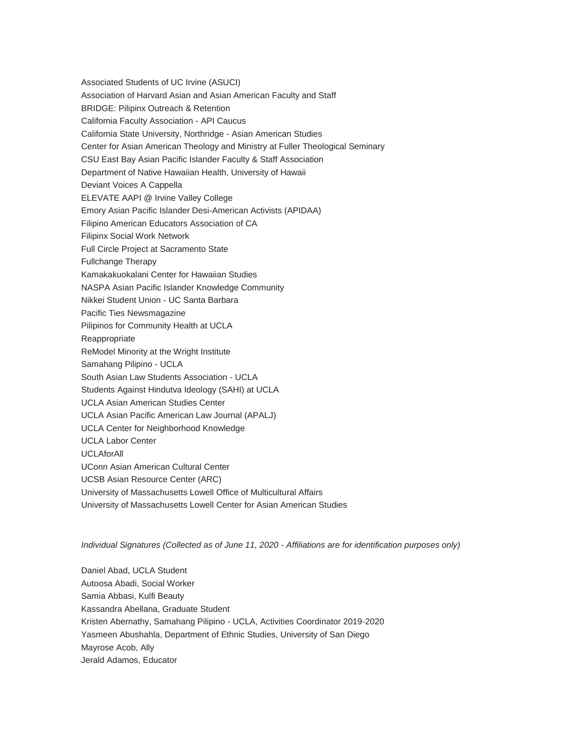Associated Students of UC Irvine (ASUCI) Association of Harvard Asian and Asian American Faculty and Staff BRIDGE: Pilipinx Outreach & Retention California Faculty Association - API Caucus California State University, Northridge - Asian American Studies Center for Asian American Theology and Ministry at Fuller Theological Seminary CSU East Bay Asian Pacific Islander Faculty & Staff Association Department of Native Hawaiian Health, University of Hawaii Deviant Voices A Cappella ELEVATE AAPI @ Irvine Valley College Emory Asian Pacific Islander Desi-American Activists (APIDAA) Filipino American Educators Association of CA Filipinx Social Work Network Full Circle Project at Sacramento State Fullchange Therapy Kamakakuokalani Center for Hawaiian Studies NASPA Asian Pacific Islander Knowledge Community Nikkei Student Union - UC Santa Barbara Pacific Ties Newsmagazine Pilipinos for Community Health at UCLA Reappropriate ReModel Minority at the Wright Institute Samahang Pilipino - UCLA South Asian Law Students Association - UCLA Students Against Hindutva Ideology (SAHI) at UCLA UCLA Asian American Studies Center UCLA Asian Pacific American Law Journal (APALJ) UCLA Center for Neighborhood Knowledge UCLA Labor Center UCLAforAll UConn Asian American Cultural Center UCSB Asian Resource Center (ARC) University of Massachusetts Lowell Office of Multicultural Affairs University of Massachusetts Lowell Center for Asian American Studies

*Individual Signatures (Collected as of June 11, 2020 - Affiliations are for identification purposes only)*

Daniel Abad, UCLA Student Autoosa Abadi, Social Worker Samia Abbasi, Kulfi Beauty Kassandra Abellana, Graduate Student Kristen Abernathy, Samahang Pilipino - UCLA, Activities Coordinator 2019-2020 Yasmeen Abushahla, Department of Ethnic Studies, University of San Diego Mayrose Acob, Ally Jerald Adamos, Educator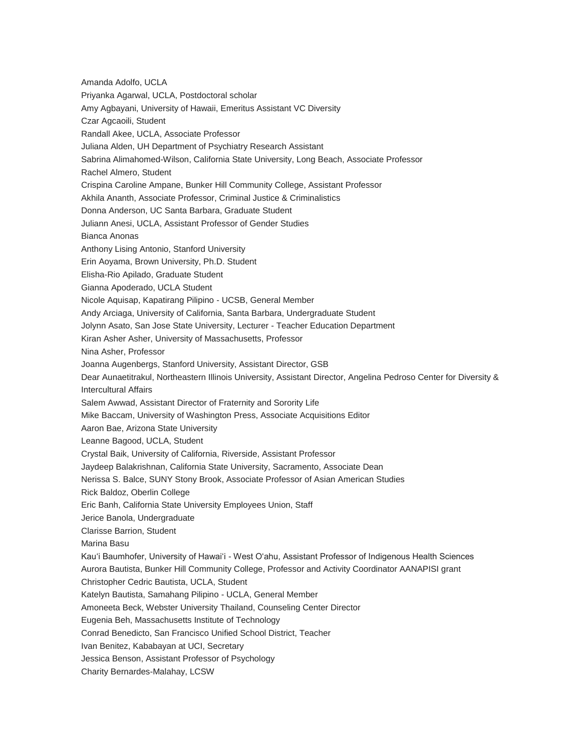Amanda Adolfo, UCLA Priyanka Agarwal, UCLA, Postdoctoral scholar Amy Agbayani, University of Hawaii, Emeritus Assistant VC Diversity Czar Agcaoili, Student Randall Akee, UCLA, Associate Professor Juliana Alden, UH Department of Psychiatry Research Assistant Sabrina Alimahomed-Wilson, California State University, Long Beach, Associate Professor Rachel Almero, Student Crispina Caroline Ampane, Bunker Hill Community College, Assistant Professor Akhila Ananth, Associate Professor, Criminal Justice & Criminalistics Donna Anderson, UC Santa Barbara, Graduate Student Juliann Anesi, UCLA, Assistant Professor of Gender Studies Bianca Anonas Anthony Lising Antonio, Stanford University Erin Aoyama, Brown University, Ph.D. Student Elisha-Rio Apilado, Graduate Student Gianna Apoderado, UCLA Student Nicole Aquisap, Kapatirang Pilipino - UCSB, General Member Andy Arciaga, University of California, Santa Barbara, Undergraduate Student Jolynn Asato, San Jose State University, Lecturer - Teacher Education Department Kiran Asher Asher, University of Massachusetts, Professor Nina Asher, Professor Joanna Augenbergs, Stanford University, Assistant Director, GSB Dear Aunaetitrakul, Northeastern Illinois University, Assistant Director, Angelina Pedroso Center for Diversity & Intercultural Affairs Salem Awwad, Assistant Director of Fraternity and Sorority Life Mike Baccam, University of Washington Press, Associate Acquisitions Editor Aaron Bae, Arizona State University Leanne Bagood, UCLA, Student Crystal Baik, University of California, Riverside, Assistant Professor Jaydeep Balakrishnan, California State University, Sacramento, Associate Dean Nerissa S. Balce, SUNY Stony Brook, Associate Professor of Asian American Studies Rick Baldoz, Oberlin College Eric Banh, California State University Employees Union, Staff Jerice Banola, Undergraduate Clarisse Barrion, Student Marina Basu Kauʻi Baumhofer, University of Hawaiʻi - West Oʻahu, Assistant Professor of Indigenous Health Sciences Aurora Bautista, Bunker Hill Community College, Professor and Activity Coordinator AANAPISI grant Christopher Cedric Bautista, UCLA, Student Katelyn Bautista, Samahang Pilipino - UCLA, General Member Amoneeta Beck, Webster University Thailand, Counseling Center Director Eugenia Beh, Massachusetts Institute of Technology Conrad Benedicto, San Francisco Unified School District, Teacher Ivan Benitez, Kababayan at UCI, Secretary Jessica Benson, Assistant Professor of Psychology Charity Bernardes-Malahay, LCSW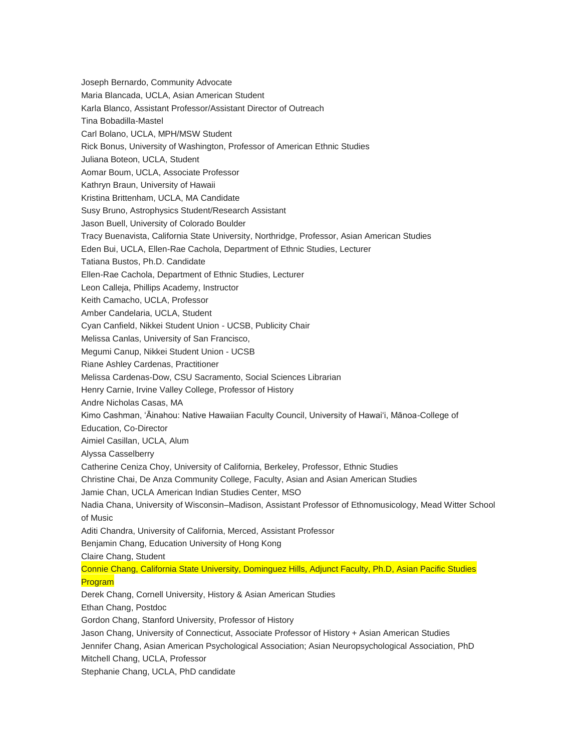Joseph Bernardo, Community Advocate Maria Blancada, UCLA, Asian American Student Karla Blanco, Assistant Professor/Assistant Director of Outreach Tina Bobadilla-Mastel Carl Bolano, UCLA, MPH/MSW Student Rick Bonus, University of Washington, Professor of American Ethnic Studies Juliana Boteon, UCLA, Student Aomar Boum, UCLA, Associate Professor Kathryn Braun, University of Hawaii Kristina Brittenham, UCLA, MA Candidate Susy Bruno, Astrophysics Student/Research Assistant Jason Buell, University of Colorado Boulder Tracy Buenavista, California State University, Northridge, Professor, Asian American Studies Eden Bui, UCLA, Ellen-Rae Cachola, Department of Ethnic Studies, Lecturer Tatiana Bustos, Ph.D. Candidate Ellen-Rae Cachola, Department of Ethnic Studies, Lecturer Leon Calleja, Phillips Academy, Instructor Keith Camacho, UCLA, Professor Amber Candelaria, UCLA, Student Cyan Canfield, Nikkei Student Union - UCSB, Publicity Chair Melissa Canlas, University of San Francisco, Megumi Canup, Nikkei Student Union - UCSB Riane Ashley Cardenas, Practitioner Melissa Cardenas-Dow, CSU Sacramento, Social Sciences Librarian Henry Carnie, Irvine Valley College, Professor of History Andre Nicholas Casas, MA Kimo Cashman, ʻĀinahou: Native Hawaiian Faculty Council, University of Hawaiʻi, Mānoa-College of Education, Co-Director Aimiel Casillan, UCLA, Alum Alyssa Casselberry Catherine Ceniza Choy, University of California, Berkeley, Professor, Ethnic Studies Christine Chai, De Anza Community College, Faculty, Asian and Asian American Studies Jamie Chan, UCLA American Indian Studies Center, MSO Nadia Chana, University of Wisconsin–Madison, Assistant Professor of Ethnomusicology, Mead Witter School of Music Aditi Chandra, University of California, Merced, Assistant Professor Benjamin Chang, Education University of Hong Kong Claire Chang, Student Connie Chang, California State University, Dominguez Hills, Adjunct Faculty, Ph.D, Asian Pacific Studies Program Derek Chang, Cornell University, History & Asian American Studies Ethan Chang, Postdoc Gordon Chang, Stanford University, Professor of History Jason Chang, University of Connecticut, Associate Professor of History + Asian American Studies Jennifer Chang, Asian American Psychological Association; Asian Neuropsychological Association, PhD Mitchell Chang, UCLA, Professor Stephanie Chang, UCLA, PhD candidate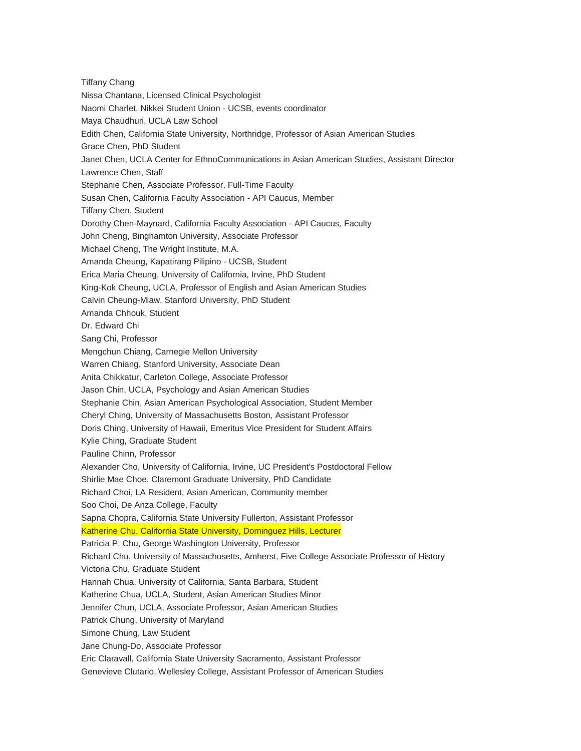Tiffany Chang Nissa Chantana, Licensed Clinical Psychologist Naomi Charlet, Nikkei Student Union - UCSB, events coordinator Maya Chaudhuri, UCLA Law School Edith Chen, California State University, Northridge, Professor of Asian American Studies Grace Chen, PhD Student Janet Chen, UCLA Center for EthnoCommunications in Asian American Studies, Assistant Director Lawrence Chen, Staff Stephanie Chen, Associate Professor, Full-Time Faculty Susan Chen, California Faculty Association - API Caucus, Member Tiffany Chen, Student Dorothy Chen-Maynard, California Faculty Association - API Caucus, Faculty John Cheng, Binghamton University, Associate Professor Michael Cheng, The Wright Institute, M.A. Amanda Cheung, Kapatirang Pilipino - UCSB, Student Erica Maria Cheung, University of California, Irvine, PhD Student King-Kok Cheung, UCLA, Professor of English and Asian American Studies Calvin Cheung-Miaw, Stanford University, PhD Student Amanda Chhouk, Student Dr. Edward Chi Sang Chi, Professor Mengchun Chiang, Carnegie Mellon University Warren Chiang, Stanford University, Associate Dean Anita Chikkatur, Carleton College, Associate Professor Jason Chin, UCLA, Psychology and Asian American Studies Stephanie Chin, Asian American Psychological Association, Student Member Cheryl Ching, University of Massachusetts Boston, Assistant Professor Doris Ching, University of Hawaii, Emeritus Vice President for Student Affairs Kylie Ching, Graduate Student Pauline Chinn, Professor Alexander Cho, University of California, Irvine, UC President's Postdoctoral Fellow Shirlie Mae Choe, Claremont Graduate University, PhD Candidate Richard Choi, LA Resident, Asian American, Community member Soo Choi, De Anza College, Faculty Sapna Chopra, California State University Fullerton, Assistant Professor Katherine Chu, California State University, Dominguez Hills, Lecturer Patricia P. Chu, George Washington University, Professor Richard Chu, University of Massachusetts, Amherst, Five College Associate Professor of History Victoria Chu, Graduate Student Hannah Chua, University of California, Santa Barbara, Student Katherine Chua, UCLA, Student, Asian American Studies Minor Jennifer Chun, UCLA, Associate Professor, Asian American Studies Patrick Chung, University of Maryland Simone Chung, Law Student Jane Chung-Do, Associate Professor Eric Claravall, California State University Sacramento, Assistant Professor Genevieve Clutario, Wellesley College, Assistant Professor of American Studies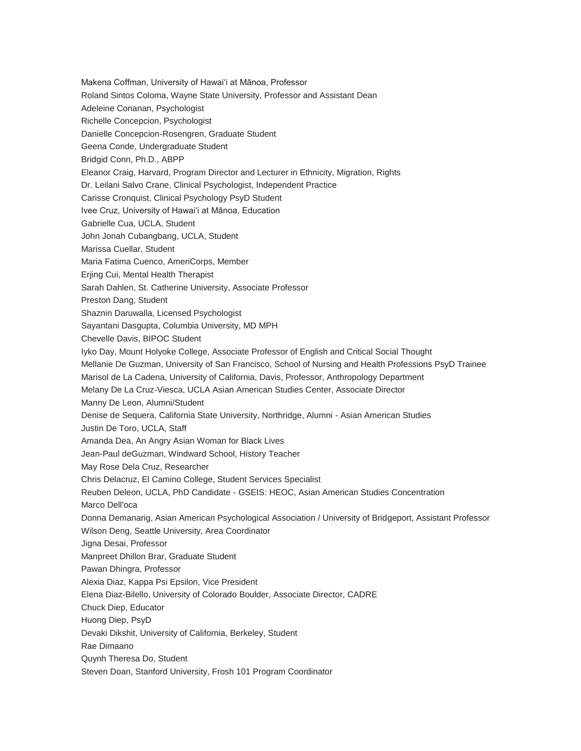Makena Coffman, University of Hawaiʻi at Mānoa, Professor Roland Sintos Coloma, Wayne State University, Professor and Assistant Dean Adeleine Conanan, Psychologist Richelle Concepcion, Psychologist Danielle Concepcion-Rosengren, Graduate Student Geena Conde, Undergraduate Student Bridgid Conn, Ph.D., ABPP Eleanor Craig, Harvard, Program Director and Lecturer in Ethnicity, Migration, Rights Dr. Leilani Salvo Crane, Clinical Psychologist, Independent Practice Carisse Cronquist, Clinical Psychology PsyD Student Ivee Cruz, University of Hawaiʻi at Mānoa, Education Gabrielle Cua, UCLA, Student John Jonah Cubangbang, UCLA, Student Marissa Cuellar, Student Maria Fatima Cuenco, AmeriCorps, Member Erjing Cui, Mental Health Therapist Sarah Dahlen, St. Catherine University, Associate Professor Preston Dang, Student Shaznin Daruwalla, Licensed Psychologist Sayantani Dasgupta, Columbia University, MD MPH Chevelle Davis, BIPOC Student Iyko Day, Mount Holyoke College, Associate Professor of English and Critical Social Thought Mellanie De Guzman, University of San Francisco, School of Nursing and Health Professions PsyD Trainee Marisol de La Cadena, University of California, Davis, Professor, Anthropology Department Melany De La Cruz-Viesca, UCLA Asian American Studies Center, Associate Director Manny De Leon, Alumni/Student Denise de Sequera, California State University, Northridge, Alumni - Asian American Studies Justin De Toro, UCLA, Staff Amanda Dea, An Angry Asian Woman for Black Lives Jean-Paul deGuzman, Windward School, History Teacher May Rose Dela Cruz, Researcher Chris Delacruz, El Camino College, Student Services Specialist Reuben Deleon, UCLA, PhD Candidate - GSEIS: HEOC, Asian American Studies Concentration Marco Dell'oca Donna Demanarig, Asian American Psychological Association / University of Bridgeport, Assistant Professor Wilson Deng, Seattle University, Area Coordinator Jigna Desai, Professor Manpreet Dhillon Brar, Graduate Student Pawan Dhingra, Professor Alexia Diaz, Kappa Psi Epsilon, Vice President Elena Diaz-Bilello, University of Colorado Boulder, Associate Director, CADRE Chuck Diep, Educator Huong Diep, PsyD Devaki Dikshit, University of California, Berkeley, Student Rae Dimaano Quynh Theresa Do, Student Steven Doan, Stanford University, Frosh 101 Program Coordinator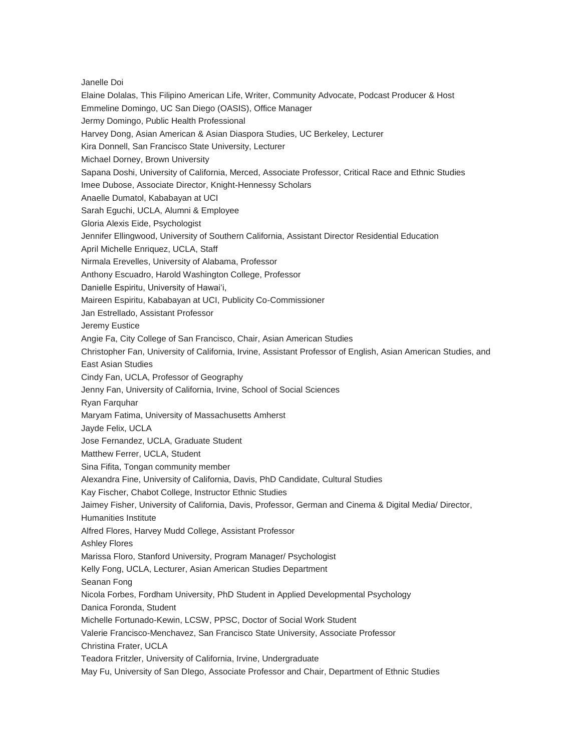Janelle Doi Elaine Dolalas, This Filipino American Life, Writer, Community Advocate, Podcast Producer & Host Emmeline Domingo, UC San Diego (OASIS), Office Manager Jermy Domingo, Public Health Professional Harvey Dong, Asian American & Asian Diaspora Studies, UC Berkeley, Lecturer Kira Donnell, San Francisco State University, Lecturer Michael Dorney, Brown University Sapana Doshi, University of California, Merced, Associate Professor, Critical Race and Ethnic Studies Imee Dubose, Associate Director, Knight-Hennessy Scholars Anaelle Dumatol, Kababayan at UCI Sarah Eguchi, UCLA, Alumni & Employee Gloria Alexis Eide, Psychologist Jennifer Ellingwood, University of Southern California, Assistant Director Residential Education April Michelle Enriquez, UCLA, Staff Nirmala Erevelles, University of Alabama, Professor Anthony Escuadro, Harold Washington College, Professor Danielle Espiritu, University of Hawaiʻi, Maireen Espiritu, Kababayan at UCI, Publicity Co-Commissioner Jan Estrellado, Assistant Professor Jeremy Eustice Angie Fa, City College of San Francisco, Chair, Asian American Studies Christopher Fan, University of California, Irvine, Assistant Professor of English, Asian American Studies, and East Asian Studies Cindy Fan, UCLA, Professor of Geography Jenny Fan, University of California, Irvine, School of Social Sciences Ryan Farquhar Maryam Fatima, University of Massachusetts Amherst Jayde Felix, UCLA Jose Fernandez, UCLA, Graduate Student Matthew Ferrer, UCLA, Student Sina Fifita, Tongan community member Alexandra Fine, University of California, Davis, PhD Candidate, Cultural Studies Kay Fischer, Chabot College, Instructor Ethnic Studies Jaimey Fisher, University of California, Davis, Professor, German and Cinema & Digital Media/ Director, Humanities Institute Alfred Flores, Harvey Mudd College, Assistant Professor Ashley Flores Marissa Floro, Stanford University, Program Manager/ Psychologist Kelly Fong, UCLA, Lecturer, Asian American Studies Department Seanan Fong Nicola Forbes, Fordham University, PhD Student in Applied Developmental Psychology Danica Foronda, Student Michelle Fortunado-Kewin, LCSW, PPSC, Doctor of Social Work Student Valerie Francisco-Menchavez, San Francisco State University, Associate Professor Christina Frater, UCLA Teadora Fritzler, University of California, Irvine, Undergraduate May Fu, University of San DIego, Associate Professor and Chair, Department of Ethnic Studies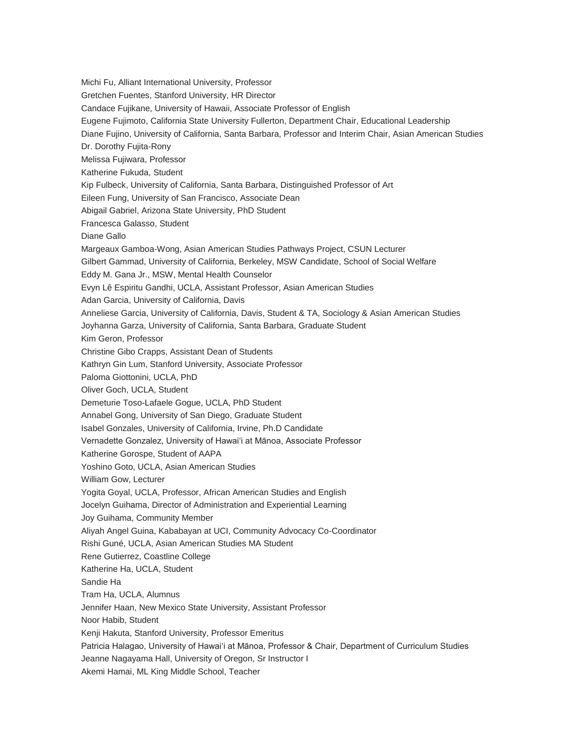Michi Fu, Alliant International University, Professor Gretchen Fuentes, Stanford University, HR Director Candace Fujikane, University of Hawaii, Associate Professor of English Eugene Fujimoto, California State University Fullerton, Department Chair, Educational Leadership Diane Fujino, University of California, Santa Barbara, Professor and Interim Chair, Asian American Studies Dr. Dorothy Fujita-Rony Melissa Fujiwara, Professor Katherine Fukuda, Student Kip Fulbeck, University of California, Santa Barbara, Distinguished Professor of Art Eileen Fung, University of San Francisco, Associate Dean Abigail Gabriel, Arizona State University, PhD Student Francesca Galasso, Student Diane Gallo Margeaux Gamboa-Wong, Asian American Studies Pathways Project, CSUN Lecturer Gilbert Gammad, University of California, Berkeley, MSW Candidate, School of Social Welfare Eddy M. Gana Jr., MSW, Mental Health Counselor Evyn Lê Espiritu Gandhi, UCLA, Assistant Professor, Asian American Studies Adan Garcia, University of California, Davis Anneliese Garcia, University of California, Davis, Student & TA, Sociology & Asian American Studies Joyhanna Garza, University of California, Santa Barbara, Graduate Student Kim Geron, Professor Christine Gibo Crapps, Assistant Dean of Students Kathryn Gin Lum, Stanford University, Associate Professor Paloma Giottonini, UCLA, PhD Oliver Goch, UCLA, Student Demeturie Toso-Lafaele Gogue, UCLA, PhD Student Annabel Gong, University of San Diego, Graduate Student Isabel Gonzales, University of California, Irvine, Ph.D Candidate Vernadette Gonzalez, University of Hawai'i at Mānoa, Associate Professor Katherine Gorospe, Student of AAPA Yoshino Goto, UCLA, Asian American Studies William Gow, Lecturer Yogita Goyal, UCLA, Professor, African American Studies and English Jocelyn Guihama, Director of Administration and Experiential Learning Joy Guihama, Community Member Aliyah Angel Guina, Kababayan at UCI, Community Advocacy Co-Coordinator Rishi Guné, UCLA, Asian American Studies MA Student Rene Gutierrez, Coastline College Katherine Ha, UCLA, Student Sandie Ha Tram Ha, UCLA, Alumnus Jennifer Haan, New Mexico State University, Assistant Professor Noor Habib, Student Kenji Hakuta, Stanford University, Professor Emeritus Patricia Halagao, University of Hawaiʻi at Mānoa, Professor & Chair, Department of Curriculum Studies Jeanne Nagayama Hall, University of Oregon, Sr Instructor I Akemi Hamai, ML King Middle School, Teacher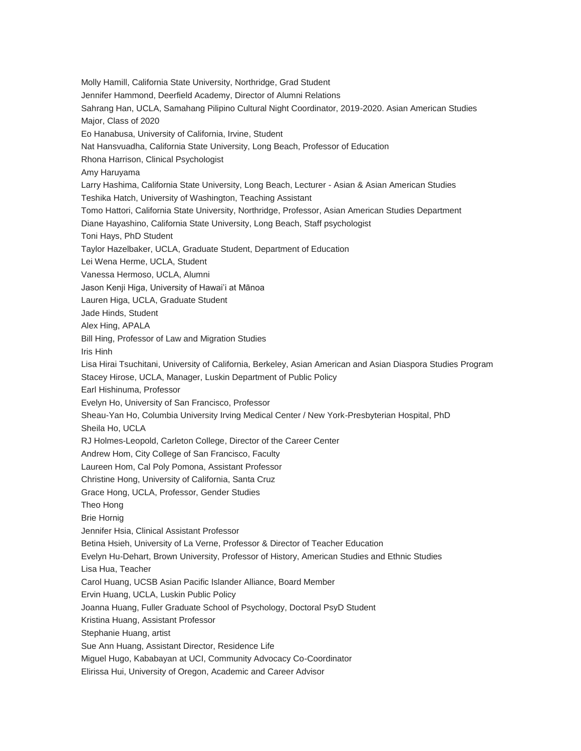Molly Hamill, California State University, Northridge, Grad Student Jennifer Hammond, Deerfield Academy, Director of Alumni Relations Sahrang Han, UCLA, Samahang Pilipino Cultural Night Coordinator, 2019-2020. Asian American Studies Major, Class of 2020 Eo Hanabusa, University of California, Irvine, Student Nat Hansvuadha, California State University, Long Beach, Professor of Education Rhona Harrison, Clinical Psychologist Amy Haruyama Larry Hashima, California State University, Long Beach, Lecturer - Asian & Asian American Studies Teshika Hatch, University of Washington, Teaching Assistant Tomo Hattori, California State University, Northridge, Professor, Asian American Studies Department Diane Hayashino, California State University, Long Beach, Staff psychologist Toni Hays, PhD Student Taylor Hazelbaker, UCLA, Graduate Student, Department of Education Lei Wena Herme, UCLA, Student Vanessa Hermoso, UCLA, Alumni Jason Kenji Higa, University of Hawai'i at Mānoa Lauren Higa, UCLA, Graduate Student Jade Hinds, Student Alex Hing, APALA Bill Hing, Professor of Law and Migration Studies Iris Hinh Lisa Hirai Tsuchitani, University of California, Berkeley, Asian American and Asian Diaspora Studies Program Stacey Hirose, UCLA, Manager, Luskin Department of Public Policy Earl Hishinuma, Professor Evelyn Ho, University of San Francisco, Professor Sheau-Yan Ho, Columbia University Irving Medical Center / New York-Presbyterian Hospital, PhD Sheila Ho, UCLA RJ Holmes-Leopold, Carleton College, Director of the Career Center Andrew Hom, City College of San Francisco, Faculty Laureen Hom, Cal Poly Pomona, Assistant Professor Christine Hong, University of California, Santa Cruz Grace Hong, UCLA, Professor, Gender Studies Theo Hong Brie Hornig Jennifer Hsia, Clinical Assistant Professor Betina Hsieh, University of La Verne, Professor & Director of Teacher Education Evelyn Hu-Dehart, Brown University, Professor of History, American Studies and Ethnic Studies Lisa Hua, Teacher Carol Huang, UCSB Asian Pacific Islander Alliance, Board Member Ervin Huang, UCLA, Luskin Public Policy Joanna Huang, Fuller Graduate School of Psychology, Doctoral PsyD Student Kristina Huang, Assistant Professor Stephanie Huang, artist Sue Ann Huang, Assistant Director, Residence Life Miguel Hugo, Kababayan at UCI, Community Advocacy Co-Coordinator Elirissa Hui, University of Oregon, Academic and Career Advisor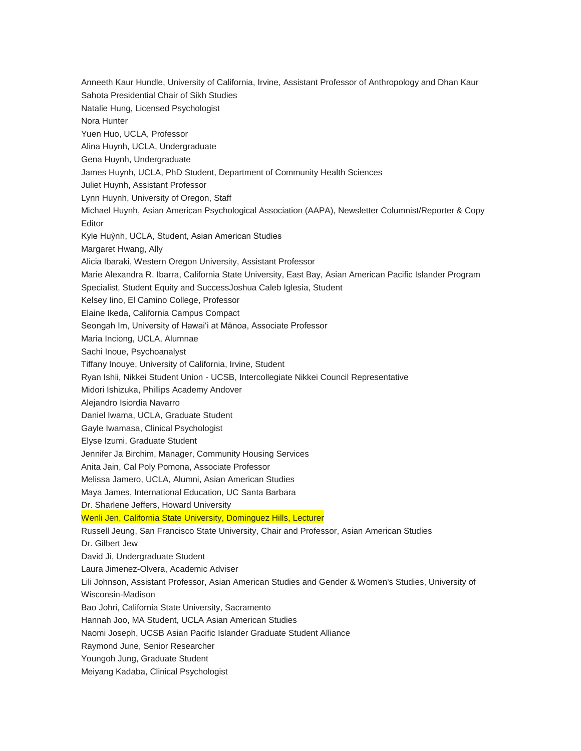Anneeth Kaur Hundle, University of California, Irvine, Assistant Professor of Anthropology and Dhan Kaur Sahota Presidential Chair of Sikh Studies Natalie Hung, Licensed Psychologist Nora Hunter Yuen Huo, UCLA, Professor Alina Huynh, UCLA, Undergraduate Gena Huynh, Undergraduate James Huynh, UCLA, PhD Student, Department of Community Health Sciences Juliet Huynh, Assistant Professor Lynn Huynh, University of Oregon, Staff Michael Huynh, Asian American Psychological Association (AAPA), Newsletter Columnist/Reporter & Copy Editor Kyle Huỳnh, UCLA, Student, Asian American Studies Margaret Hwang, Ally Alicia Ibaraki, Western Oregon University, Assistant Professor Marie Alexandra R. Ibarra, California State University, East Bay, Asian American Pacific Islander Program Specialist, Student Equity and SuccessJoshua Caleb Iglesia, Student Kelsey Iino, El Camino College, Professor Elaine Ikeda, California Campus Compact Seongah Im, University of Hawaiʻi at Mānoa, Associate Professor Maria Inciong, UCLA, Alumnae Sachi Inoue, Psychoanalyst Tiffany Inouye, University of California, Irvine, Student Ryan Ishii, Nikkei Student Union - UCSB, Intercollegiate Nikkei Council Representative Midori Ishizuka, Phillips Academy Andover Alejandro Isiordia Navarro Daniel Iwama, UCLA, Graduate Student Gayle Iwamasa, Clinical Psychologist Elyse Izumi, Graduate Student Jennifer Ja Birchim, Manager, Community Housing Services Anita Jain, Cal Poly Pomona, Associate Professor Melissa Jamero, UCLA, Alumni, Asian American Studies Maya James, International Education, UC Santa Barbara Dr. Sharlene Jeffers, Howard University Wenli Jen, California State University, Dominguez Hills, Lecturer Russell Jeung, San Francisco State University, Chair and Professor, Asian American Studies Dr. Gilbert Jew David Ji, Undergraduate Student Laura Jimenez-Olvera, Academic Adviser Lili Johnson, Assistant Professor, Asian American Studies and Gender & Women's Studies, University of Wisconsin-Madison Bao Johri, California State University, Sacramento Hannah Joo, MA Student, UCLA Asian American Studies Naomi Joseph, UCSB Asian Pacific Islander Graduate Student Alliance Raymond June, Senior Researcher Youngoh Jung, Graduate Student Meiyang Kadaba, Clinical Psychologist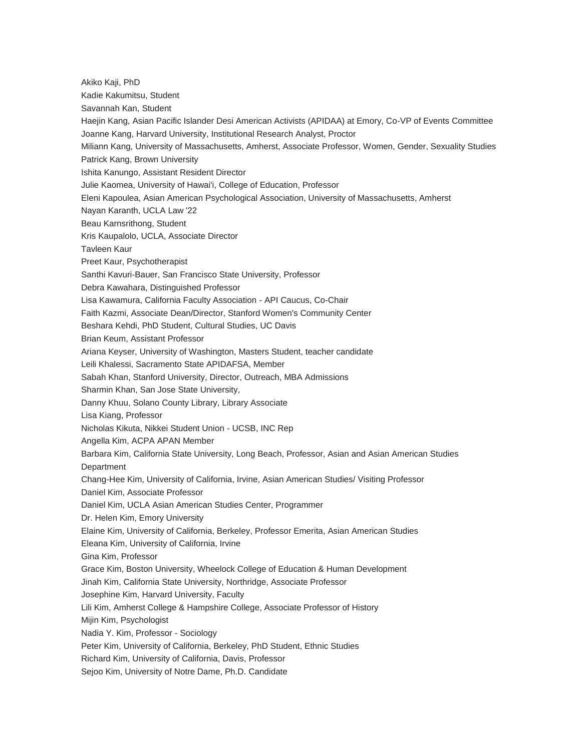Akiko Kaji, PhD Kadie Kakumitsu, Student Savannah Kan, Student Haejin Kang, Asian Pacific Islander Desi American Activists (APIDAA) at Emory, Co-VP of Events Committee Joanne Kang, Harvard University, Institutional Research Analyst, Proctor Miliann Kang, University of Massachusetts, Amherst, Associate Professor, Women, Gender, Sexuality Studies Patrick Kang, Brown University Ishita Kanungo, Assistant Resident Director Julie Kaomea, University of Hawai'i, College of Education, Professor Eleni Kapoulea, Asian American Psychological Association, University of Massachusetts, Amherst Nayan Karanth, UCLA Law '22 Beau Karnsrithong, Student Kris Kaupalolo, UCLA, Associate Director Tavleen Kaur Preet Kaur, Psychotherapist Santhi Kavuri-Bauer, San Francisco State University, Professor Debra Kawahara, Distinguished Professor Lisa Kawamura, California Faculty Association - API Caucus, Co-Chair Faith Kazmi, Associate Dean/Director, Stanford Women's Community Center Beshara Kehdi, PhD Student, Cultural Studies, UC Davis Brian Keum, Assistant Professor Ariana Keyser, University of Washington, Masters Student, teacher candidate Leili Khalessi, Sacramento State APIDAFSA, Member Sabah Khan, Stanford University, Director, Outreach, MBA Admissions Sharmin Khan, San Jose State University, Danny Khuu, Solano County Library, Library Associate Lisa Kiang, Professor Nicholas Kikuta, Nikkei Student Union - UCSB, INC Rep Angella Kim, ACPA APAN Member Barbara Kim, California State University, Long Beach, Professor, Asian and Asian American Studies **Department** Chang-Hee Kim, University of California, Irvine, Asian American Studies/ Visiting Professor Daniel Kim, Associate Professor Daniel Kim, UCLA Asian American Studies Center, Programmer Dr. Helen Kim, Emory University Elaine Kim, University of California, Berkeley, Professor Emerita, Asian American Studies Eleana Kim, University of California, Irvine Gina Kim, Professor Grace Kim, Boston University, Wheelock College of Education & Human Development Jinah Kim, California State University, Northridge, Associate Professor Josephine Kim, Harvard University, Faculty Lili Kim, Amherst College & Hampshire College, Associate Professor of History Mijin Kim, Psychologist Nadia Y. Kim, Professor - Sociology Peter Kim, University of California, Berkeley, PhD Student, Ethnic Studies Richard Kim, University of California, Davis, Professor Sejoo Kim, University of Notre Dame, Ph.D. Candidate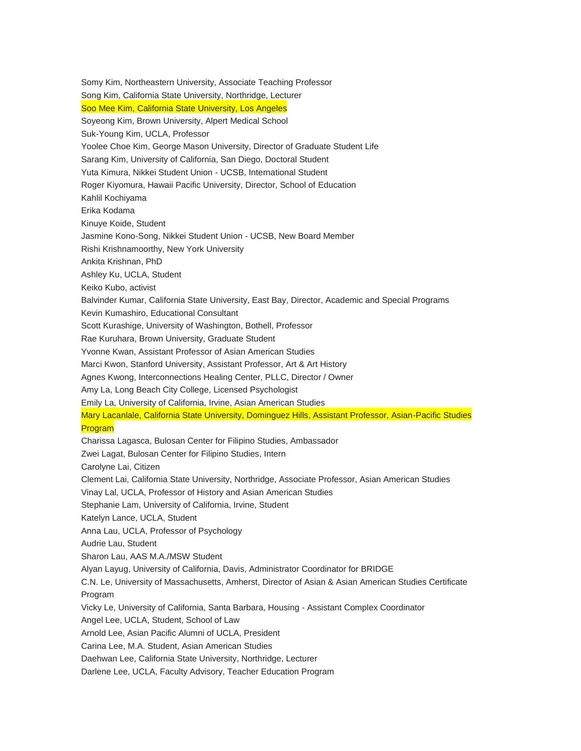Somy Kim, Northeastern University, Associate Teaching Professor Song Kim, California State University, Northridge, Lecturer Soo Mee Kim, California State University, Los Angeles Soyeong Kim, Brown University, Alpert Medical School Suk-Young Kim, UCLA, Professor Yoolee Choe Kim, George Mason University, Director of Graduate Student Life Sarang Kim, University of California, San Diego, Doctoral Student Yuta Kimura, Nikkei Student Union - UCSB, International Student Roger Kiyomura, Hawaii Pacific University, Director, School of Education Kahlil Kochiyama Erika Kodama Kinuye Koide, Student Jasmine Kono-Song, Nikkei Student Union - UCSB, New Board Member Rishi Krishnamoorthy, New York University Ankita Krishnan, PhD Ashley Ku, UCLA, Student Keiko Kubo, activist Balvinder Kumar, California State University, East Bay, Director, Academic and Special Programs Kevin Kumashiro, Educational Consultant Scott Kurashige, University of Washington, Bothell, Professor Rae Kuruhara, Brown University, Graduate Student Yvonne Kwan, Assistant Professor of Asian American Studies Marci Kwon, Stanford University, Assistant Professor, Art & Art History Agnes Kwong, Interconnections Healing Center, PLLC, Director / Owner Amy La, Long Beach City College, Licensed Psychologist Emily La, University of California, Irvine, Asian American Studies Mary Lacanlale, California State University, Dominguez Hills, Assistant Professor, Asian-Pacific Studies Program Charissa Lagasca, Bulosan Center for Filipino Studies, Ambassador Zwei Lagat, Bulosan Center for Filipino Studies, Intern Carolyne Lai, Citizen Clement Lai, California State University, Northridge, Associate Professor, Asian American Studies Vinay Lal, UCLA, Professor of History and Asian American Studies Stephanie Lam, University of California, Irvine, Student Katelyn Lance, UCLA, Student Anna Lau, UCLA, Professor of Psychology Audrie Lau, Student Sharon Lau, AAS M.A./MSW Student Alyan Layug, University of California, Davis, Administrator Coordinator for BRIDGE C.N. Le, University of Massachusetts, Amherst, Director of Asian & Asian American Studies Certificate Program Vicky Le, University of California, Santa Barbara, Housing - Assistant Complex Coordinator Angel Lee, UCLA, Student, School of Law Arnold Lee, Asian Pacific Alumni of UCLA, President Carina Lee, M.A. Student, Asian American Studies Daehwan Lee, California State University, Northridge, Lecturer Darlene Lee, UCLA, Faculty Advisory, Teacher Education Program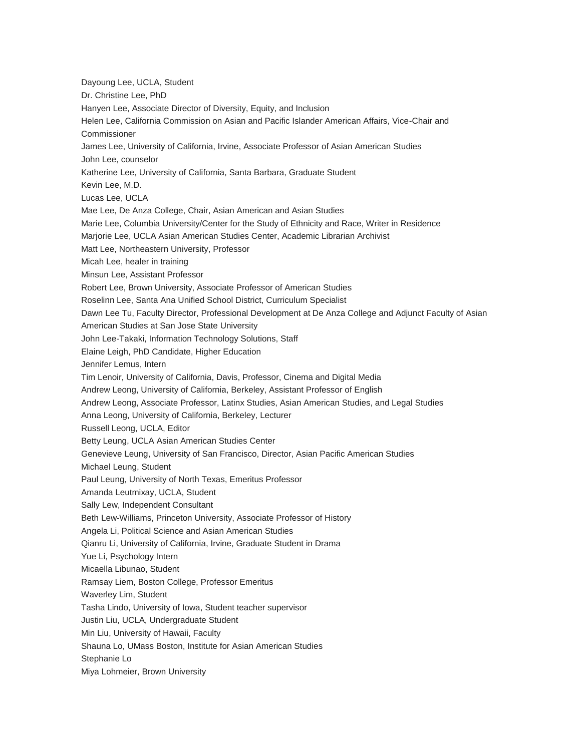Dayoung Lee, UCLA, Student Dr. Christine Lee, PhD Hanyen Lee, Associate Director of Diversity, Equity, and Inclusion Helen Lee, California Commission on Asian and Pacific Islander American Affairs, Vice-Chair and Commissioner James Lee, University of California, Irvine, Associate Professor of Asian American Studies John Lee, counselor Katherine Lee, University of California, Santa Barbara, Graduate Student Kevin Lee, M.D. Lucas Lee, UCLA Mae Lee, De Anza College, Chair, Asian American and Asian Studies Marie Lee, Columbia University/Center for the Study of Ethnicity and Race, Writer in Residence Marjorie Lee, UCLA Asian American Studies Center, Academic Librarian Archivist Matt Lee, Northeastern University, Professor Micah Lee, healer in training Minsun Lee, Assistant Professor Robert Lee, Brown University, Associate Professor of American Studies Roselinn Lee, Santa Ana Unified School District, Curriculum Specialist Dawn Lee Tu, Faculty Director, Professional Development at De Anza College and Adjunct Faculty of Asian American Studies at San Jose State University John Lee-Takaki, Information Technology Solutions, Staff Elaine Leigh, PhD Candidate, Higher Education Jennifer Lemus, Intern Tim Lenoir, University of California, Davis, Professor, Cinema and Digital Media Andrew Leong, University of California, Berkeley, Assistant Professor of English Andrew Leong, Associate Professor, Latinx Studies, Asian American Studies, and Legal Studies Anna Leong, University of California, Berkeley, Lecturer Russell Leong, UCLA, Editor Betty Leung, UCLA Asian American Studies Center Genevieve Leung, University of San Francisco, Director, Asian Pacific American Studies Michael Leung, Student Paul Leung, University of North Texas, Emeritus Professor Amanda Leutmixay, UCLA, Student Sally Lew, Independent Consultant Beth Lew-Williams, Princeton University, Associate Professor of History Angela Li, Political Science and Asian American Studies Qianru Li, University of California, Irvine, Graduate Student in Drama Yue Li, Psychology Intern Micaella Libunao, Student Ramsay Liem, Boston College, Professor Emeritus Waverley Lim, Student Tasha Lindo, University of Iowa, Student teacher supervisor Justin Liu, UCLA, Undergraduate Student Min Liu, University of Hawaii, Faculty Shauna Lo, UMass Boston, Institute for Asian American Studies Stephanie Lo Miya Lohmeier, Brown University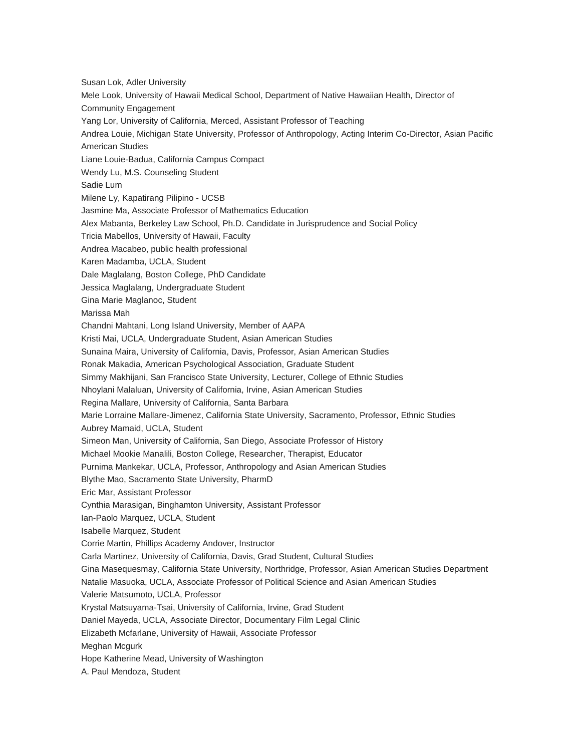Susan Lok, Adler University Mele Look, University of Hawaii Medical School, Department of Native Hawaiian Health, Director of Community Engagement Yang Lor, University of California, Merced, Assistant Professor of Teaching Andrea Louie, Michigan State University, Professor of Anthropology, Acting Interim Co-Director, Asian Pacific American Studies Liane Louie-Badua, California Campus Compact Wendy Lu, M.S. Counseling Student Sadie Lum Milene Ly, Kapatirang Pilipino - UCSB Jasmine Ma, Associate Professor of Mathematics Education Alex Mabanta, Berkeley Law School, Ph.D. Candidate in Jurisprudence and Social Policy Tricia Mabellos, University of Hawaii, Faculty Andrea Macabeo, public health professional Karen Madamba, UCLA, Student Dale Maglalang, Boston College, PhD Candidate Jessica Maglalang, Undergraduate Student Gina Marie Maglanoc, Student Marissa Mah Chandni Mahtani, Long Island University, Member of AAPA Kristi Mai, UCLA, Undergraduate Student, Asian American Studies Sunaina Maira, University of California, Davis, Professor, Asian American Studies Ronak Makadia, American Psychological Association, Graduate Student Simmy Makhijani, San Francisco State University, Lecturer, College of Ethnic Studies Nhoylani Malaluan, University of California, Irvine, Asian American Studies Regina Mallare, University of California, Santa Barbara Marie Lorraine Mallare-Jimenez, California State University, Sacramento, Professor, Ethnic Studies Aubrey Mamaid, UCLA, Student Simeon Man, University of California, San Diego, Associate Professor of History Michael Mookie Manalili, Boston College, Researcher, Therapist, Educator Purnima Mankekar, UCLA, Professor, Anthropology and Asian American Studies Blythe Mao, Sacramento State University, PharmD Eric Mar, Assistant Professor Cynthia Marasigan, Binghamton University, Assistant Professor Ian-Paolo Marquez, UCLA, Student Isabelle Marquez, Student Corrie Martin, Phillips Academy Andover, Instructor Carla Martinez, University of California, Davis, Grad Student, Cultural Studies Gina Masequesmay, California State University, Northridge, Professor, Asian American Studies Department Natalie Masuoka, UCLA, Associate Professor of Political Science and Asian American Studies Valerie Matsumoto, UCLA, Professor Krystal Matsuyama-Tsai, University of California, Irvine, Grad Student Daniel Mayeda, UCLA, Associate Director, Documentary Film Legal Clinic Elizabeth Mcfarlane, University of Hawaii, Associate Professor Meghan Mcgurk Hope Katherine Mead, University of Washington A. Paul Mendoza, Student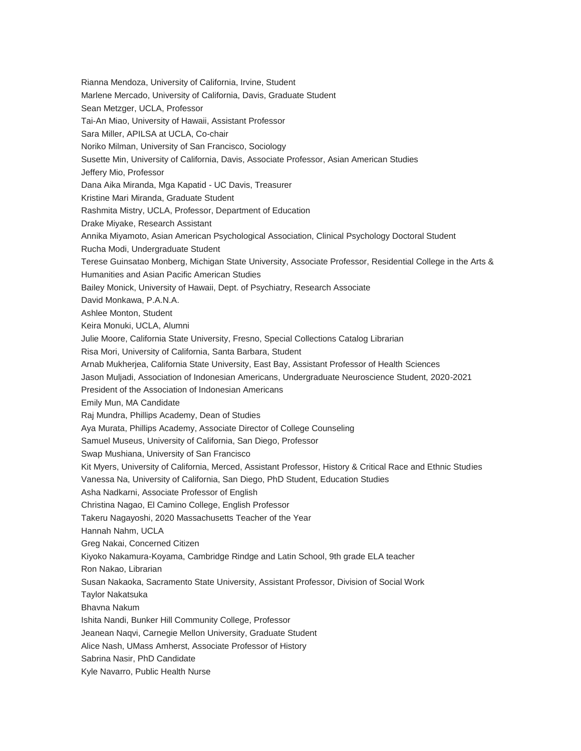Rianna Mendoza, University of California, Irvine, Student Marlene Mercado, University of California, Davis, Graduate Student Sean Metzger, UCLA, Professor Tai-An Miao, University of Hawaii, Assistant Professor Sara Miller, APILSA at UCLA, Co-chair Noriko Milman, University of San Francisco, Sociology Susette Min, University of California, Davis, Associate Professor, Asian American Studies Jeffery Mio, Professor Dana Aika Miranda, Mga Kapatid - UC Davis, Treasurer Kristine Mari Miranda, Graduate Student Rashmita Mistry, UCLA, Professor, Department of Education Drake Miyake, Research Assistant Annika Miyamoto, Asian American Psychological Association, Clinical Psychology Doctoral Student Rucha Modi, Undergraduate Student Terese Guinsatao Monberg, Michigan State University, Associate Professor, Residential College in the Arts & Humanities and Asian Pacific American Studies Bailey Monick, University of Hawaii, Dept. of Psychiatry, Research Associate David Monkawa, P.A.N.A. Ashlee Monton, Student Keira Monuki, UCLA, Alumni Julie Moore, California State University, Fresno, Special Collections Catalog Librarian Risa Mori, University of California, Santa Barbara, Student Arnab Mukherjea, California State University, East Bay, Assistant Professor of Health Sciences Jason Muljadi, Association of Indonesian Americans, Undergraduate Neuroscience Student, 2020-2021 President of the Association of Indonesian Americans Emily Mun, MA Candidate Raj Mundra, Phillips Academy, Dean of Studies Aya Murata, Phillips Academy, Associate Director of College Counseling Samuel Museus, University of California, San Diego, Professor Swap Mushiana, University of San Francisco Kit Myers, University of California, Merced, Assistant Professor, History & Critical Race and Ethnic Studies Vanessa Na, University of California, San Diego, PhD Student, Education Studies Asha Nadkarni, Associate Professor of English Christina Nagao, El Camino College, English Professor Takeru Nagayoshi, 2020 Massachusetts Teacher of the Year Hannah Nahm, UCLA Greg Nakai, Concerned Citizen Kiyoko Nakamura-Koyama, Cambridge Rindge and Latin School, 9th grade ELA teacher Ron Nakao, Librarian Susan Nakaoka, Sacramento State University, Assistant Professor, Division of Social Work Taylor Nakatsuka Bhavna Nakum Ishita Nandi, Bunker Hill Community College, Professor Jeanean Naqvi, Carnegie Mellon University, Graduate Student Alice Nash, UMass Amherst, Associate Professor of History Sabrina Nasir, PhD Candidate Kyle Navarro, Public Health Nurse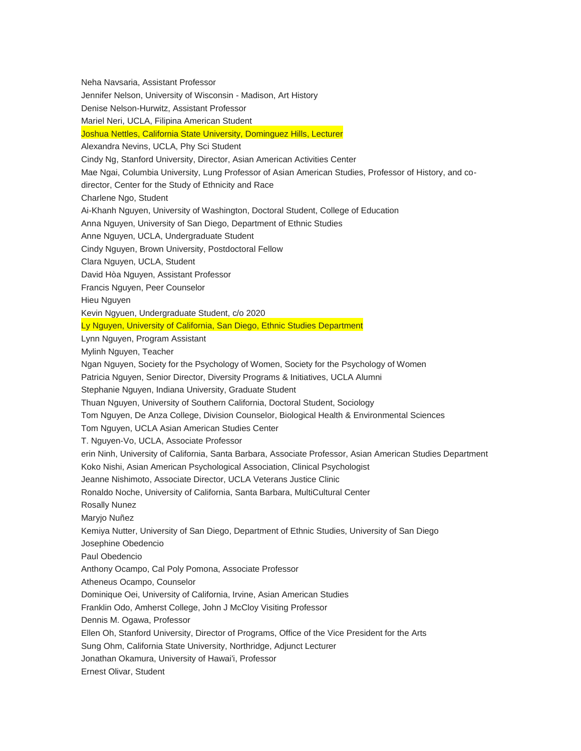Neha Navsaria, Assistant Professor Jennifer Nelson, University of Wisconsin - Madison, Art History Denise Nelson-Hurwitz, Assistant Professor Mariel Neri, UCLA, Filipina American Student Joshua Nettles, California State University, Dominguez Hills, Lecturer Alexandra Nevins, UCLA, Phy Sci Student Cindy Ng, Stanford University, Director, Asian American Activities Center Mae Ngai, Columbia University, Lung Professor of Asian American Studies, Professor of History, and codirector, Center for the Study of Ethnicity and Race Charlene Ngo, Student Ai-Khanh Nguyen, University of Washington, Doctoral Student, College of Education Anna Nguyen, University of San Diego, Department of Ethnic Studies Anne Nguyen, UCLA, Undergraduate Student Cindy Nguyen, Brown University, Postdoctoral Fellow Clara Nguyen, UCLA, Student David Hòa Nguyen, Assistant Professor Francis Nguyen, Peer Counselor Hieu Nguyen Kevin Ngyuen, Undergraduate Student, c/o 2020 Ly Nguyen, University of California, San Diego, Ethnic Studies Department Lynn Nguyen, Program Assistant Mylinh Nguyen, Teacher Ngan Nguyen, Society for the Psychology of Women, Society for the Psychology of Women Patricia Nguyen, Senior Director, Diversity Programs & Initiatives, UCLA Alumni Stephanie Nguyen, Indiana University, Graduate Student Thuan Nguyen, University of Southern California, Doctoral Student, Sociology Tom Nguyen, De Anza College, Division Counselor, Biological Health & Environmental Sciences Tom Nguyen, UCLA Asian American Studies Center T. Nguyen-Vo, UCLA, Associate Professor erin Ninh, University of California, Santa Barbara, Associate Professor, Asian American Studies Department Koko Nishi, Asian American Psychological Association, Clinical Psychologist Jeanne Nishimoto, Associate Director, UCLA Veterans Justice Clinic Ronaldo Noche, University of California, Santa Barbara, MultiCultural Center Rosally Nunez Maryjo Nuñez Kemiya Nutter, University of San Diego, Department of Ethnic Studies, University of San Diego Josephine Obedencio Paul Obedencio Anthony Ocampo, Cal Poly Pomona, Associate Professor Atheneus Ocampo, Counselor Dominique Oei, University of California, Irvine, Asian American Studies Franklin Odo, Amherst College, John J McCloy Visiting Professor Dennis M. Ogawa, Professor Ellen Oh, Stanford University, Director of Programs, Office of the Vice President for the Arts Sung Ohm, California State University, Northridge, Adjunct Lecturer Jonathan Okamura, University of Hawai'i, Professor Ernest Olivar, Student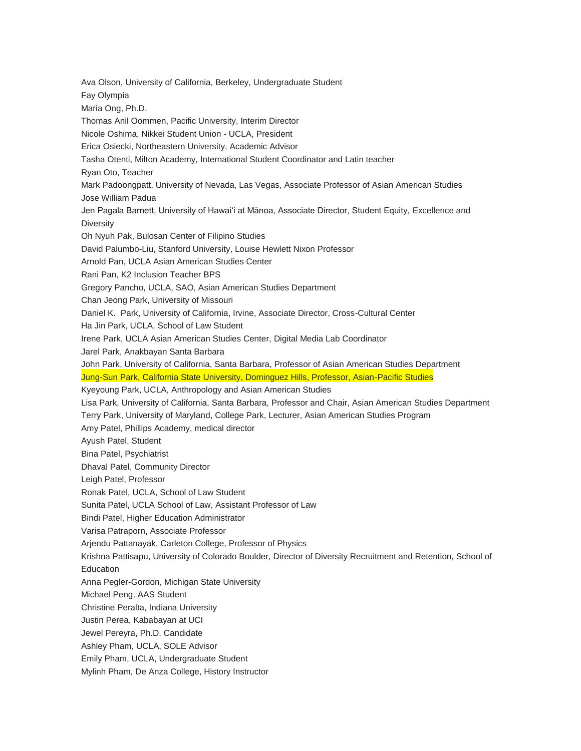Ava Olson, University of California, Berkeley, Undergraduate Student Fay Olympia Maria Ong, Ph.D. Thomas Anil Oommen, Pacific University, Interim Director Nicole Oshima, Nikkei Student Union - UCLA, President Erica Osiecki, Northeastern University, Academic Advisor Tasha Otenti, Milton Academy, International Student Coordinator and Latin teacher Ryan Oto, Teacher Mark Padoongpatt, University of Nevada, Las Vegas, Associate Professor of Asian American Studies Jose William Padua Jen Pagala Barnett, University of Hawaiʻi at Mānoa, Associate Director, Student Equity, Excellence and **Diversity** Oh Nyuh Pak, Bulosan Center of Filipino Studies David Palumbo-Liu, Stanford University, Louise Hewlett Nixon Professor Arnold Pan, UCLA Asian American Studies Center Rani Pan, K2 Inclusion Teacher BPS Gregory Pancho, UCLA, SAO, Asian American Studies Department Chan Jeong Park, University of Missouri Daniel K. Park, University of California, Irvine, Associate Director, Cross-Cultural Center Ha Jin Park, UCLA, School of Law Student Irene Park, UCLA Asian American Studies Center, Digital Media Lab Coordinator Jarel Park, Anakbayan Santa Barbara John Park, University of California, Santa Barbara, Professor of Asian American Studies Department Jung-Sun Park, California State University, Dominguez Hills, Professor, Asian-Pacific Studies Kyeyoung Park, UCLA, Anthropology and Asian American Studies Lisa Park, University of California, Santa Barbara, Professor and Chair, Asian American Studies Department Terry Park, University of Maryland, College Park, Lecturer, Asian American Studies Program Amy Patel, Phillips Academy, medical director Ayush Patel, Student Bina Patel, Psychiatrist Dhaval Patel, Community Director Leigh Patel, Professor Ronak Patel, UCLA, School of Law Student Sunita Patel, UCLA School of Law, Assistant Professor of Law Bindi Patel, Higher Education Administrator Varisa Patraporn, Associate Professor Arjendu Pattanayak, Carleton College, Professor of Physics Krishna Pattisapu, University of Colorado Boulder, Director of Diversity Recruitment and Retention, School of Education Anna Pegler-Gordon, Michigan State University Michael Peng, AAS Student Christine Peralta, Indiana University Justin Perea, Kababayan at UCI Jewel Pereyra, Ph.D. Candidate Ashley Pham, UCLA, SOLE Advisor Emily Pham, UCLA, Undergraduate Student Mylinh Pham, De Anza College, History Instructor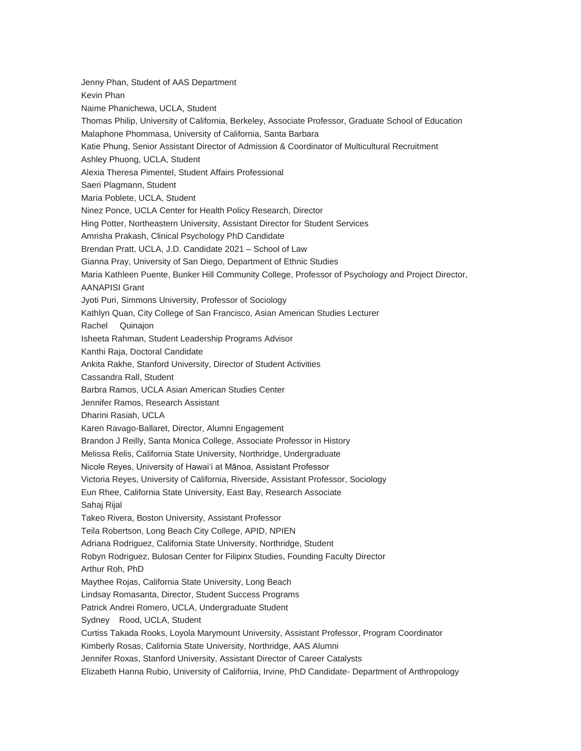Jenny Phan, Student of AAS Department Kevin Phan Naime Phanichewa, UCLA, Student Thomas Philip, University of California, Berkeley, Associate Professor, Graduate School of Education Malaphone Phommasa, University of California, Santa Barbara Katie Phung, Senior Assistant Director of Admission & Coordinator of Multicultural Recruitment Ashley Phuong, UCLA, Student Alexia Theresa Pimentel, Student Affairs Professional Saeri Plagmann, Student Maria Poblete, UCLA, Student Ninez Ponce, UCLA Center for Health Policy Research, Director Hing Potter, Northeastern University, Assistant Director for Student Services Amrisha Prakash, Clinical Psychology PhD Candidate Brendan Pratt, UCLA, J.D. Candidate 2021 – School of Law Gianna Pray, University of San Diego, Department of Ethnic Studies Maria Kathleen Puente, Bunker Hill Community College, Professor of Psychology and Project Director, AANAPISI Grant Jyoti Puri, Simmons University, Professor of Sociology Kathlyn Quan, City College of San Francisco, Asian American Studies Lecturer Rachel Quinajon Isheeta Rahman, Student Leadership Programs Advisor Kanthi Raja, Doctoral Candidate Ankita Rakhe, Stanford University, Director of Student Activities Cassandra Rall, Student Barbra Ramos, UCLA Asian American Studies Center Jennifer Ramos, Research Assistant Dharini Rasiah, UCLA Karen Ravago-Ballaret, Director, Alumni Engagement Brandon J Reilly, Santa Monica College, Associate Professor in History Melissa Relis, California State University, Northridge, Undergraduate Nicole Reyes, University of Hawaiʻi at Mānoa, Assistant Professor Victoria Reyes, University of California, Riverside, Assistant Professor, Sociology Eun Rhee, California State University, East Bay, Research Associate Sahaj Rijal Takeo Rivera, Boston University, Assistant Professor Teila Robertson, Long Beach City College, APID, NPIEN Adriana Rodriguez, California State University, Northridge, Student Robyn Rodriguez, Bulosan Center for Filipinx Studies, Founding Faculty Director Arthur Roh, PhD Maythee Rojas, California State University, Long Beach Lindsay Romasanta, Director, Student Success Programs Patrick Andrei Romero, UCLA, Undergraduate Student Sydney Rood, UCLA, Student Curtiss Takada Rooks, Loyola Marymount University, Assistant Professor, Program Coordinator Kimberly Rosas, California State University, Northridge, AAS Alumni Jennifer Roxas, Stanford University, Assistant Director of Career Catalysts Elizabeth Hanna Rubio, University of California, Irvine, PhD Candidate- Department of Anthropology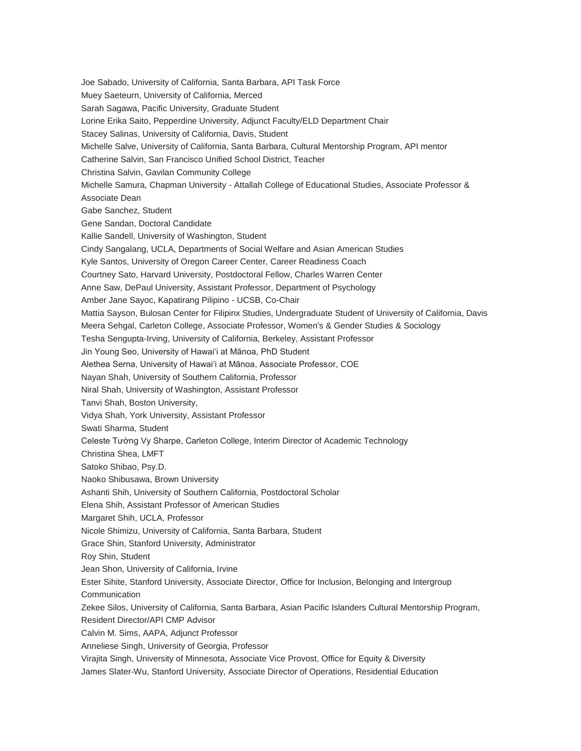Joe Sabado, University of California, Santa Barbara, API Task Force Muey Saeteurn, University of California, Merced Sarah Sagawa, Pacific University, Graduate Student Lorine Erika Saito, Pepperdine University, Adjunct Faculty/ELD Department Chair Stacey Salinas, University of California, Davis, Student Michelle Salve, University of California, Santa Barbara, Cultural Mentorship Program, API mentor Catherine Salvin, San Francisco Unified School District, Teacher Christina Salvin, Gavilan Community College Michelle Samura, Chapman University - Attallah College of Educational Studies, Associate Professor & Associate Dean Gabe Sanchez, Student Gene Sandan, Doctoral Candidate Kallie Sandell, University of Washington, Student Cindy Sangalang, UCLA, Departments of Social Welfare and Asian American Studies Kyle Santos, University of Oregon Career Center, Career Readiness Coach Courtney Sato, Harvard University, Postdoctoral Fellow, Charles Warren Center Anne Saw, DePaul University, Assistant Professor, Department of Psychology Amber Jane Sayoc, Kapatirang Pilipino - UCSB, Co-Chair Mattia Sayson, Bulosan Center for Filipinx Studies, Undergraduate Student of University of California, Davis Meera Sehgal, Carleton College, Associate Professor, Women's & Gender Studies & Sociology Tesha Sengupta-Irving, University of California, Berkeley, Assistant Professor Jin Young Seo, University of Hawaiʻi at Mānoa, PhD Student Alethea Serna, University of Hawaiʻi at Mānoa, Associate Professor, COE Nayan Shah, University of Southern California, Professor Niral Shah, University of Washington, Assistant Professor Tanvi Shah, Boston University, Vidya Shah, York University, Assistant Professor Swati Sharma, Student Celeste Tường Vy Sharpe, Carleton College, Interim Director of Academic Technology Christina Shea, LMFT Satoko Shibao, Psy.D. Naoko Shibusawa, Brown University Ashanti Shih, University of Southern California, Postdoctoral Scholar Elena Shih, Assistant Professor of American Studies Margaret Shih, UCLA, Professor Nicole Shimizu, University of California, Santa Barbara, Student Grace Shin, Stanford University, Administrator Roy Shin, Student Jean Shon, University of California, Irvine Ester Sihite, Stanford University, Associate Director, Office for Inclusion, Belonging and Intergroup **Communication** Zekee Silos, University of California, Santa Barbara, Asian Pacific Islanders Cultural Mentorship Program, Resident Director/API CMP Advisor Calvin M. Sims, AAPA, Adjunct Professor Anneliese Singh, University of Georgia, Professor Virajita Singh, University of Minnesota, Associate Vice Provost, Office for Equity & Diversity James Slater-Wu, Stanford University, Associate Director of Operations, Residential Education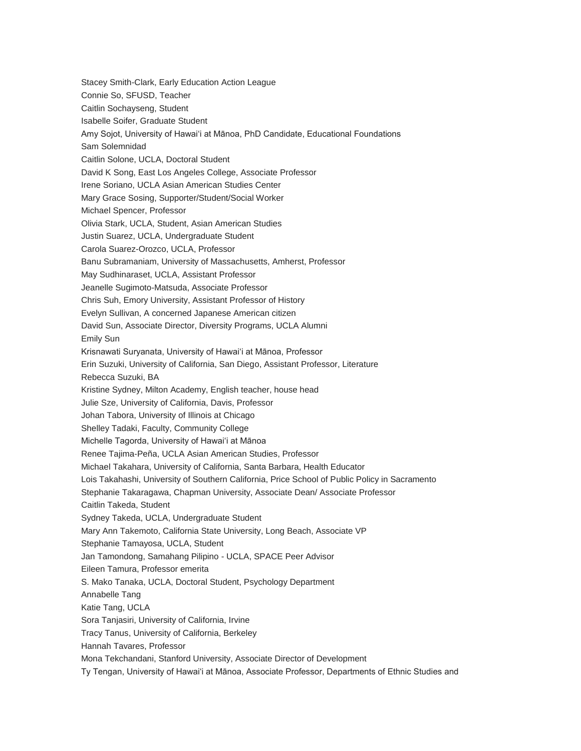Stacey Smith-Clark, Early Education Action League Connie So, SFUSD, Teacher Caitlin Sochayseng, Student Isabelle Soifer, Graduate Student Amy Sojot, University of Hawai'i at Mānoa, PhD Candidate, Educational Foundations Sam Solemnidad Caitlin Solone, UCLA, Doctoral Student David K Song, East Los Angeles College, Associate Professor Irene Soriano, UCLA Asian American Studies Center Mary Grace Sosing, Supporter/Student/Social Worker Michael Spencer, Professor Olivia Stark, UCLA, Student, Asian American Studies Justin Suarez, UCLA, Undergraduate Student Carola Suarez-Orozco, UCLA, Professor Banu Subramaniam, University of Massachusetts, Amherst, Professor May Sudhinaraset, UCLA, Assistant Professor Jeanelle Sugimoto-Matsuda, Associate Professor Chris Suh, Emory University, Assistant Professor of History Evelyn Sullivan, A concerned Japanese American citizen David Sun, Associate Director, Diversity Programs, UCLA Alumni Emily Sun Krisnawati Suryanata, University of Hawaiʻi at Mānoa, Professor Erin Suzuki, University of California, San Diego, Assistant Professor, Literature Rebecca Suzuki, BA Kristine Sydney, Milton Academy, English teacher, house head Julie Sze, University of California, Davis, Professor Johan Tabora, University of Illinois at Chicago Shelley Tadaki, Faculty, Community College Michelle Tagorda, University of Hawaiʻi at Mānoa Renee Tajima-Peña, UCLA Asian American Studies, Professor Michael Takahara, University of California, Santa Barbara, Health Educator Lois Takahashi, University of Southern California, Price School of Public Policy in Sacramento Stephanie Takaragawa, Chapman University, Associate Dean/ Associate Professor Caitlin Takeda, Student Sydney Takeda, UCLA, Undergraduate Student Mary Ann Takemoto, California State University, Long Beach, Associate VP Stephanie Tamayosa, UCLA, Student Jan Tamondong, Samahang Pilipino - UCLA, SPACE Peer Advisor Eileen Tamura, Professor emerita S. Mako Tanaka, UCLA, Doctoral Student, Psychology Department Annabelle Tang Katie Tang, UCLA Sora Tanjasiri, University of California, Irvine Tracy Tanus, University of California, Berkeley Hannah Tavares, Professor Mona Tekchandani, Stanford University, Associate Director of Development Ty Tengan, University of Hawaiʻi at Mānoa, Associate Professor, Departments of Ethnic Studies and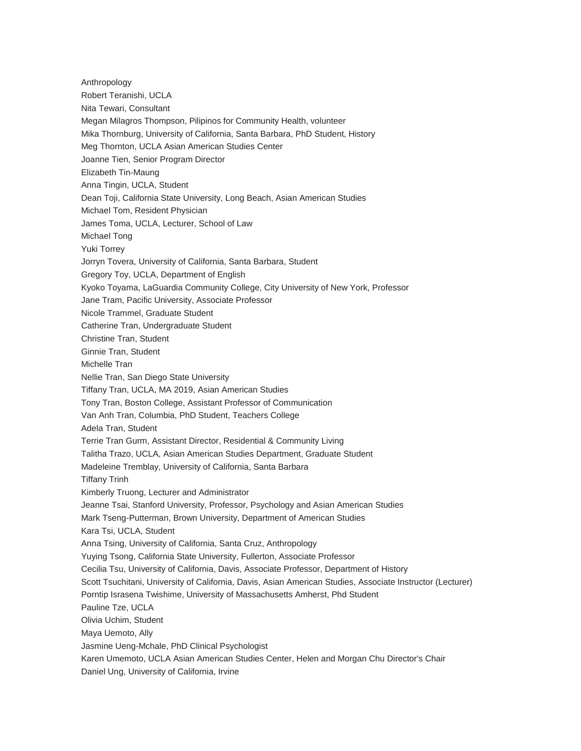Anthropology Robert Teranishi, UCLA Nita Tewari, Consultant Megan Milagros Thompson, Pilipinos for Community Health, volunteer Mika Thornburg, University of California, Santa Barbara, PhD Student, History Meg Thornton, UCLA Asian American Studies Center Joanne Tien, Senior Program Director Elizabeth Tin-Maung Anna Tingin, UCLA, Student Dean Toji, California State University, Long Beach, Asian American Studies Michael Tom, Resident Physician James Toma, UCLA, Lecturer, School of Law Michael Tong Yuki Torrey Jorryn Tovera, University of California, Santa Barbara, Student Gregory Toy, UCLA, Department of English Kyoko Toyama, LaGuardia Community College, City University of New York, Professor Jane Tram, Pacific University, Associate Professor Nicole Trammel, Graduate Student Catherine Tran, Undergraduate Student Christine Tran, Student Ginnie Tran, Student Michelle Tran Nellie Tran, San Diego State University Tiffany Tran, UCLA, MA 2019, Asian American Studies Tony Tran, Boston College, Assistant Professor of Communication Van Anh Tran, Columbia, PhD Student, Teachers College Adela Tran, Student Terrie Tran Gurm, Assistant Director, Residential & Community Living Talitha Trazo, UCLA, Asian American Studies Department, Graduate Student Madeleine Tremblay, University of California, Santa Barbara Tiffany Trinh Kimberly Truong, Lecturer and Administrator Jeanne Tsai, Stanford University, Professor, Psychology and Asian American Studies Mark Tseng-Putterman, Brown University, Department of American Studies Kara Tsi, UCLA, Student Anna Tsing, University of California, Santa Cruz, Anthropology Yuying Tsong, California State University, Fullerton, Associate Professor Cecilia Tsu, University of California, Davis, Associate Professor, Department of History Scott Tsuchitani, University of California, Davis, Asian American Studies, Associate Instructor (Lecturer) Porntip Israsena Twishime, University of Massachusetts Amherst, Phd Student Pauline Tze, UCLA Olivia Uchim, Student Maya Uemoto, Ally Jasmine Ueng-Mchale, PhD Clinical Psychologist Karen Umemoto, UCLA Asian American Studies Center, Helen and Morgan Chu Director's Chair Daniel Ung, University of California, Irvine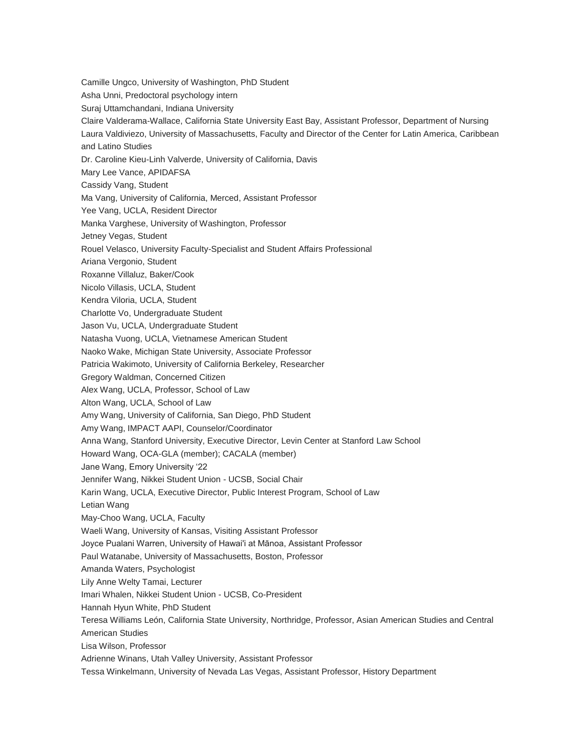Camille Ungco, University of Washington, PhD Student Asha Unni, Predoctoral psychology intern Suraj Uttamchandani, Indiana University Claire Valderama-Wallace, California State University East Bay, Assistant Professor, Department of Nursing Laura Valdiviezo, University of Massachusetts, Faculty and Director of the Center for Latin America, Caribbean and Latino Studies Dr. Caroline Kieu-Linh Valverde, University of California, Davis Mary Lee Vance, APIDAFSA Cassidy Vang, Student Ma Vang, University of California, Merced, Assistant Professor Yee Vang, UCLA, Resident Director Manka Varghese, University of Washington, Professor Jetney Vegas, Student Rouel Velasco, University Faculty-Specialist and Student Affairs Professional Ariana Vergonio, Student Roxanne Villaluz, Baker/Cook Nicolo Villasis, UCLA, Student Kendra Viloria, UCLA, Student Charlotte Vo, Undergraduate Student Jason Vu, UCLA, Undergraduate Student Natasha Vuong, UCLA, Vietnamese American Student Naoko Wake, Michigan State University, Associate Professor Patricia Wakimoto, University of California Berkeley, Researcher Gregory Waldman, Concerned Citizen Alex Wang, UCLA, Professor, School of Law Alton Wang, UCLA, School of Law Amy Wang, University of California, San Diego, PhD Student Amy Wang, IMPACT AAPI, Counselor/Coordinator Anna Wang, Stanford University, Executive Director, Levin Center at Stanford Law School Howard Wang, OCA-GLA (member); CACALA (member) Jane Wang, Emory University '22 Jennifer Wang, Nikkei Student Union - UCSB, Social Chair Karin Wang, UCLA, Executive Director, Public Interest Program, School of Law Letian Wang May-Choo Wang, UCLA, Faculty Waeli Wang, University of Kansas, Visiting Assistant Professor Joyce Pualani Warren, University of Hawai'i at Mānoa, Assistant Professor Paul Watanabe, University of Massachusetts, Boston, Professor Amanda Waters, Psychologist Lily Anne Welty Tamai, Lecturer Imari Whalen, Nikkei Student Union - UCSB, Co-President Hannah Hyun White, PhD Student Teresa Williams León, California State University, Northridge, Professor, Asian American Studies and Central American Studies Lisa Wilson, Professor Adrienne Winans, Utah Valley University, Assistant Professor Tessa Winkelmann, University of Nevada Las Vegas, Assistant Professor, History Department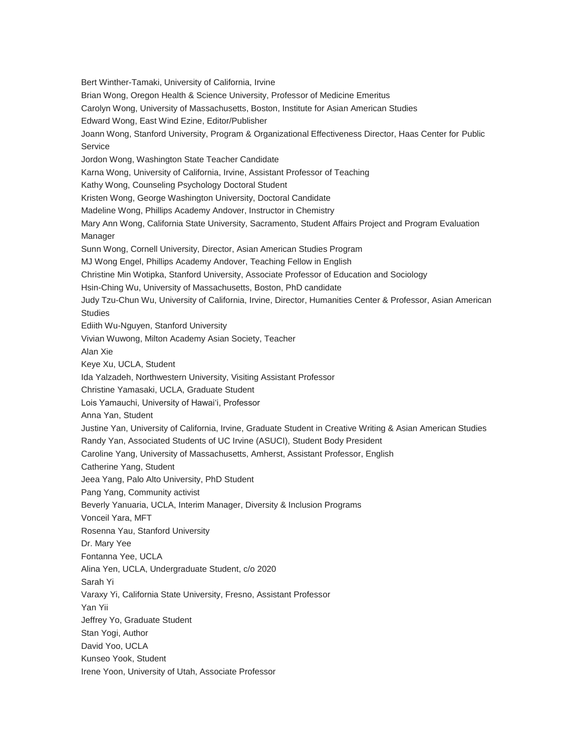Bert Winther-Tamaki, University of California, Irvine Brian Wong, Oregon Health & Science University, Professor of Medicine Emeritus Carolyn Wong, University of Massachusetts, Boston, Institute for Asian American Studies Edward Wong, East Wind Ezine, Editor/Publisher Joann Wong, Stanford University, Program & Organizational Effectiveness Director, Haas Center for Public Service Jordon Wong, Washington State Teacher Candidate Karna Wong, University of California, Irvine, Assistant Professor of Teaching Kathy Wong, Counseling Psychology Doctoral Student Kristen Wong, George Washington University, Doctoral Candidate Madeline Wong, Phillips Academy Andover, Instructor in Chemistry Mary Ann Wong, California State University, Sacramento, Student Affairs Project and Program Evaluation Manager Sunn Wong, Cornell University, Director, Asian American Studies Program MJ Wong Engel, Phillips Academy Andover, Teaching Fellow in English Christine Min Wotipka, Stanford University, Associate Professor of Education and Sociology Hsin-Ching Wu, University of Massachusetts, Boston, PhD candidate Judy Tzu-Chun Wu, University of California, Irvine, Director, Humanities Center & Professor, Asian American **Studies** Ediith Wu-Nguyen, Stanford University Vivian Wuwong, Milton Academy Asian Society, Teacher Alan Xie Keye Xu, UCLA, Student Ida Yalzadeh, Northwestern University, Visiting Assistant Professor Christine Yamasaki, UCLA, Graduate Student Lois Yamauchi, University of Hawai'i, Professor Anna Yan, Student Justine Yan, University of California, Irvine, Graduate Student in Creative Writing & Asian American Studies Randy Yan, Associated Students of UC Irvine (ASUCI), Student Body President Caroline Yang, University of Massachusetts, Amherst, Assistant Professor, English Catherine Yang, Student Jeea Yang, Palo Alto University, PhD Student Pang Yang, Community activist Beverly Yanuaria, UCLA, Interim Manager, Diversity & Inclusion Programs Vonceil Yara, MFT Rosenna Yau, Stanford University Dr. Mary Yee Fontanna Yee, UCLA Alina Yen, UCLA, Undergraduate Student, c/o 2020 Sarah Yi Varaxy Yi, California State University, Fresno, Assistant Professor Yan Yii Jeffrey Yo, Graduate Student Stan Yogi, Author David Yoo, UCLA Kunseo Yook, Student Irene Yoon, University of Utah, Associate Professor